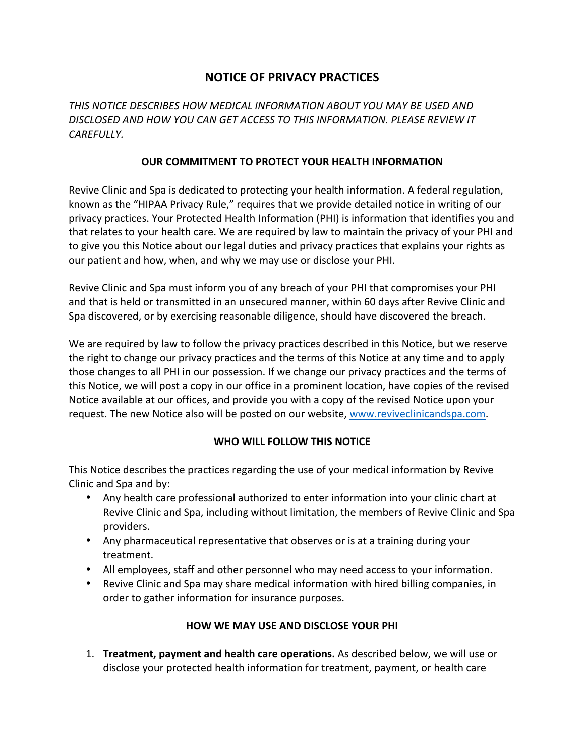# **NOTICE OF PRIVACY PRACTICES**

THIS NOTICE DESCRIBES HOW MEDICAL INFORMATION ABOUT YOU MAY BE USED AND *DISCLOSED AND HOW YOU CAN GET ACCESS TO THIS INFORMATION. PLEASE REVIEW IT CAREFULLY.*

#### **OUR COMMITMENT TO PROTECT YOUR HEALTH INFORMATION**

Revive Clinic and Spa is dedicated to protecting your health information. A federal regulation, known as the "HIPAA Privacy Rule," requires that we provide detailed notice in writing of our privacy practices. Your Protected Health Information (PHI) is information that identifies you and that relates to your health care. We are required by law to maintain the privacy of your PHI and to give you this Notice about our legal duties and privacy practices that explains your rights as our patient and how, when, and why we may use or disclose your PHI.

Revive Clinic and Spa must inform you of any breach of your PHI that compromises your PHI and that is held or transmitted in an unsecured manner, within 60 days after Revive Clinic and Spa discovered, or by exercising reasonable diligence, should have discovered the breach.

We are required by law to follow the privacy practices described in this Notice, but we reserve the right to change our privacy practices and the terms of this Notice at any time and to apply those changes to all PHI in our possession. If we change our privacy practices and the terms of this Notice, we will post a copy in our office in a prominent location, have copies of the revised Notice available at our offices, and provide you with a copy of the revised Notice upon your request. The new Notice also will be posted on our website, www.reviveclinicandspa.com.

## WHO WILL FOLLOW THIS NOTICE

This Notice describes the practices regarding the use of your medical information by Revive Clinic and Spa and by:

- Any health care professional authorized to enter information into your clinic chart at Revive Clinic and Spa, including without limitation, the members of Revive Clinic and Spa providers.
- Any pharmaceutical representative that observes or is at a training during your treatment.
- All employees, staff and other personnel who may need access to your information.
- Revive Clinic and Spa may share medical information with hired billing companies, in order to gather information for insurance purposes.

## **HOW WE MAY USE AND DISCLOSE YOUR PHI**

**1. Treatment, payment and health care operations.** As described below, we will use or disclose your protected health information for treatment, payment, or health care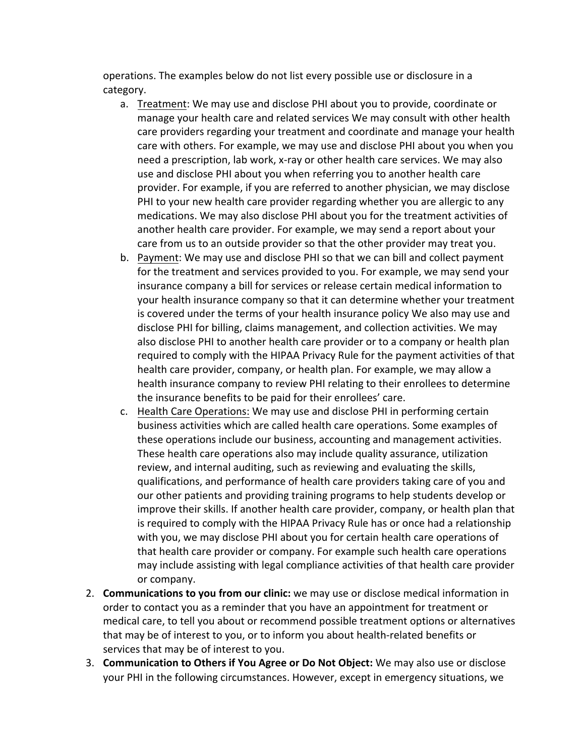operations. The examples below do not list every possible use or disclosure in a category.

- a. Treatment: We may use and disclose PHI about you to provide, coordinate or manage your health care and related services We may consult with other health care providers regarding your treatment and coordinate and manage your health care with others. For example, we may use and disclose PHI about you when you need a prescription, lab work, x-ray or other health care services. We may also use and disclose PHI about you when referring you to another health care provider. For example, if you are referred to another physician, we may disclose PHI to your new health care provider regarding whether you are allergic to any medications. We may also disclose PHI about you for the treatment activities of another health care provider. For example, we may send a report about your care from us to an outside provider so that the other provider may treat you.
- b. Payment: We may use and disclose PHI so that we can bill and collect payment for the treatment and services provided to you. For example, we may send your insurance company a bill for services or release certain medical information to your health insurance company so that it can determine whether your treatment is covered under the terms of your health insurance policy We also may use and disclose PHI for billing, claims management, and collection activities. We may also disclose PHI to another health care provider or to a company or health plan required to comply with the HIPAA Privacy Rule for the payment activities of that health care provider, company, or health plan. For example, we may allow a health insurance company to review PHI relating to their enrollees to determine the insurance benefits to be paid for their enrollees' care.
- c. Health Care Operations: We may use and disclose PHI in performing certain business activities which are called health care operations. Some examples of these operations include our business, accounting and management activities. These health care operations also may include quality assurance, utilization review, and internal auditing, such as reviewing and evaluating the skills, qualifications, and performance of health care providers taking care of you and our other patients and providing training programs to help students develop or improve their skills. If another health care provider, company, or health plan that is required to comply with the HIPAA Privacy Rule has or once had a relationship with you, we may disclose PHI about you for certain health care operations of that health care provider or company. For example such health care operations may include assisting with legal compliance activities of that health care provider or company.
- 2. **Communications to you from our clinic:** we may use or disclose medical information in order to contact you as a reminder that you have an appointment for treatment or medical care, to tell you about or recommend possible treatment options or alternatives that may be of interest to you, or to inform you about health-related benefits or services that may be of interest to you.
- 3. **Communication to Others if You Agree or Do Not Object:** We may also use or disclose your PHI in the following circumstances. However, except in emergency situations, we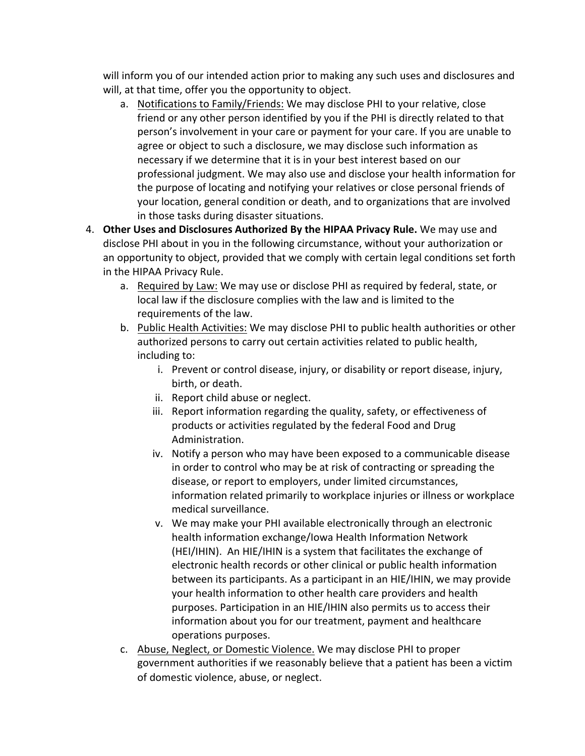will inform you of our intended action prior to making any such uses and disclosures and will, at that time, offer you the opportunity to object.

- a. Notifications to Family/Friends: We may disclose PHI to your relative, close friend or any other person identified by you if the PHI is directly related to that person's involvement in your care or payment for your care. If you are unable to agree or object to such a disclosure, we may disclose such information as necessary if we determine that it is in your best interest based on our professional judgment. We may also use and disclose your health information for the purpose of locating and notifying your relatives or close personal friends of your location, general condition or death, and to organizations that are involved in those tasks during disaster situations.
- 4. **Other Uses and Disclosures Authorized By the HIPAA Privacy Rule.** We may use and disclose PHI about in you in the following circumstance, without your authorization or an opportunity to object, provided that we comply with certain legal conditions set forth in the HIPAA Privacy Rule.
	- a. Required by Law: We may use or disclose PHI as required by federal, state, or local law if the disclosure complies with the law and is limited to the requirements of the law.
	- b. Public Health Activities: We may disclose PHI to public health authorities or other authorized persons to carry out certain activities related to public health, including to:
		- i. Prevent or control disease, injury, or disability or report disease, injury, birth, or death.
		- ii. Report child abuse or neglect.
		- iii. Report information regarding the quality, safety, or effectiveness of products or activities regulated by the federal Food and Drug Administration.
		- iv. Notify a person who may have been exposed to a communicable disease in order to control who may be at risk of contracting or spreading the disease, or report to employers, under limited circumstances, information related primarily to workplace injuries or illness or workplace medical surveillance.
		- v. We may make your PHI available electronically through an electronic health information exchange/Iowa Health Information Network (HEI/IHIN). An HIE/IHIN is a system that facilitates the exchange of electronic health records or other clinical or public health information between its participants. As a participant in an HIE/IHIN, we may provide your health information to other health care providers and health purposes. Participation in an HIE/IHIN also permits us to access their information about you for our treatment, payment and healthcare operations purposes.
	- c. Abuse, Neglect, or Domestic Violence. We may disclose PHI to proper government authorities if we reasonably believe that a patient has been a victim of domestic violence, abuse, or neglect.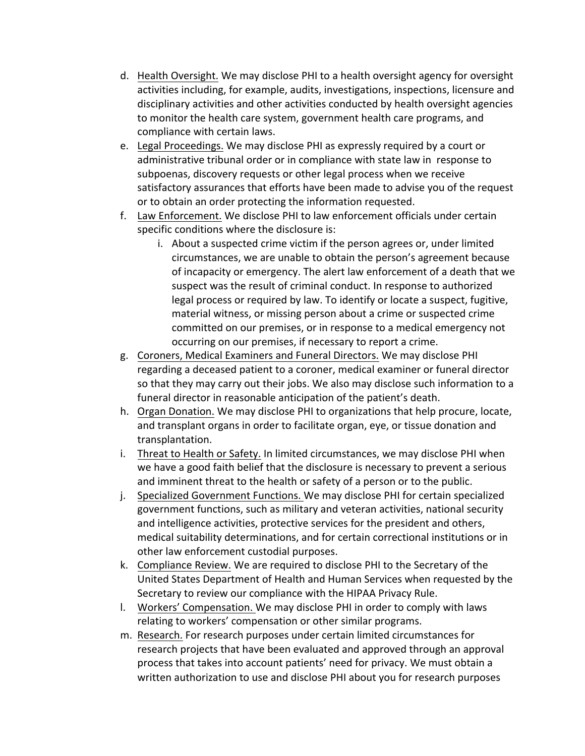- d. Health Oversight. We may disclose PHI to a health oversight agency for oversight activities including, for example, audits, investigations, inspections, licensure and disciplinary activities and other activities conducted by health oversight agencies to monitor the health care system, government health care programs, and compliance with certain laws.
- e. Legal Proceedings. We may disclose PHI as expressly required by a court or administrative tribunal order or in compliance with state law in response to subpoenas, discovery requests or other legal process when we receive satisfactory assurances that efforts have been made to advise you of the request or to obtain an order protecting the information requested.
- f. Law Enforcement. We disclose PHI to law enforcement officials under certain specific conditions where the disclosure is:
	- i. About a suspected crime victim if the person agrees or, under limited circumstances, we are unable to obtain the person's agreement because of incapacity or emergency. The alert law enforcement of a death that we suspect was the result of criminal conduct. In response to authorized legal process or required by law. To identify or locate a suspect, fugitive, material witness, or missing person about a crime or suspected crime committed on our premises, or in response to a medical emergency not occurring on our premises, if necessary to report a crime.
- g. Coroners, Medical Examiners and Funeral Directors. We may disclose PHI regarding a deceased patient to a coroner, medical examiner or funeral director so that they may carry out their jobs. We also may disclose such information to a funeral director in reasonable anticipation of the patient's death.
- h. Organ Donation. We may disclose PHI to organizations that help procure, locate, and transplant organs in order to facilitate organ, eye, or tissue donation and transplantation.
- i. Threat to Health or Safety. In limited circumstances, we may disclose PHI when we have a good faith belief that the disclosure is necessary to prevent a serious and imminent threat to the health or safety of a person or to the public.
- j. Specialized Government Functions. We may disclose PHI for certain specialized government functions, such as military and veteran activities, national security and intelligence activities, protective services for the president and others, medical suitability determinations, and for certain correctional institutions or in other law enforcement custodial purposes.
- k. Compliance Review. We are required to disclose PHI to the Secretary of the United States Department of Health and Human Services when requested by the Secretary to review our compliance with the HIPAA Privacy Rule.
- l. Workers' Compensation. We may disclose PHI in order to comply with laws relating to workers' compensation or other similar programs.
- m. Research. For research purposes under certain limited circumstances for research projects that have been evaluated and approved through an approval process that takes into account patients' need for privacy. We must obtain a written authorization to use and disclose PHI about you for research purposes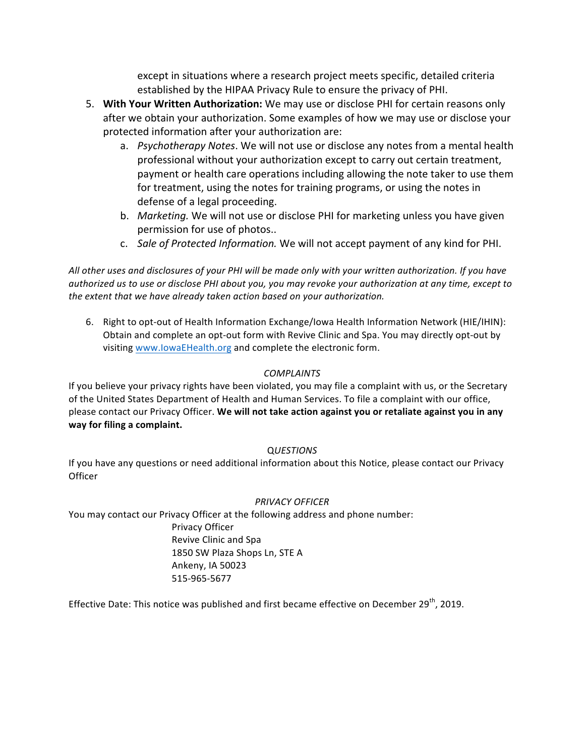except in situations where a research project meets specific, detailed criteria established by the HIPAA Privacy Rule to ensure the privacy of PHI.

- 5. **With Your Written Authorization:** We may use or disclose PHI for certain reasons only after we obtain your authorization. Some examples of how we may use or disclose your protected information after your authorization are:
	- a. *Psychotherapy Notes*. We will not use or disclose any notes from a mental health professional without your authorization except to carry out certain treatment, payment or health care operations including allowing the note taker to use them for treatment, using the notes for training programs, or using the notes in defense of a legal proceeding.
	- b. *Marketing*. We will not use or disclose PHI for marketing unless you have given permission for use of photos..
	- c. Sale of Protected Information. We will not accept payment of any kind for PHI.

All other uses and disclosures of your PHI will be made only with your written authorization. If you have *authorized us* to use or disclose PHI about you, you may revoke your authorization at any time, except to *the extent that* we have already taken action based on your authorization.

6. Right to opt-out of Health Information Exchange/Iowa Health Information Network (HIE/IHIN): Obtain and complete an opt-out form with Revive Clinic and Spa. You may directly opt-out by visiting www.lowaEHealth.org and complete the electronic form.

#### *COMPLAINTS*

If you believe your privacy rights have been violated, you may file a complaint with us, or the Secretary of the United States Department of Health and Human Services. To file a complaint with our office, please contact our Privacy Officer. We will not take action against you or retaliate against you in any **way for filing a complaint.**

#### Q*UESTIONS*

If you have any questions or need additional information about this Notice, please contact our Privacy **Officer** 

#### *PRIVACY OFFICER*

You may contact our Privacy Officer at the following address and phone number:

Privacy Officer Revive Clinic and Spa 1850 SW Plaza Shops Ln, STE A Ankeny, IA 50023 515-965-5677

Effective Date: This notice was published and first became effective on December  $29^{th}$ , 2019.